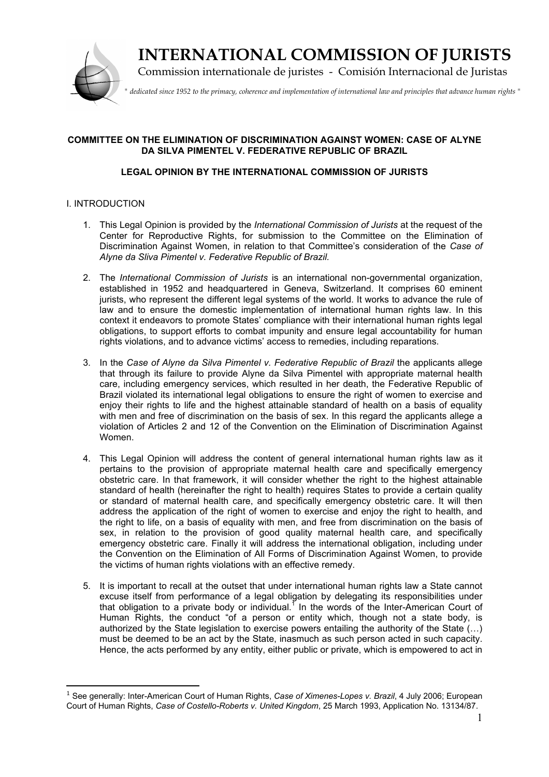

# **INTERNATIONAL COMMISSION OF JURISTS**

Commission internationale de juristes - Comisión Internacional de Juristas

*" dedicated since 1952 to the primacy, coherence and implementation of international law and principles that advance human rights "*

# **COMMITTEE ON THE ELIMINATION OF DISCRIMINATION AGAINST WOMEN: CASE OF ALYNE DA SILVA PIMENTEL V. FEDERATIVE REPUBLIC OF BRAZIL**

# **LEGAL OPINION BY THE INTERNATIONAL COMMISSION OF JURISTS**

## I. INTRODUCTION

- 1. This Legal Opinion is provided by the *International Commission of Jurists* at the request of the Center for Reproductive Rights, for submission to the Committee on the Elimination of Discrimination Against Women, in relation to that Committee's consideration of the *Case of Alyne da Sliva Pimentel v. Federative Republic of Brazil.*
- 2. The *International Commission of Jurists* is an international non-governmental organization, established in 1952 and headquartered in Geneva, Switzerland. It comprises 60 eminent jurists, who represent the different legal systems of the world. It works to advance the rule of law and to ensure the domestic implementation of international human rights law. In this context it endeavors to promote States' compliance with their international human rights legal obligations, to support efforts to combat impunity and ensure legal accountability for human rights violations, and to advance victims' access to remedies, including reparations.
- 3. In the *Case of Alyne da Silva Pimentel v. Federative Republic of Brazil* the applicants allege that through its failure to provide Alyne da Silva Pimentel with appropriate maternal health care, including emergency services, which resulted in her death, the Federative Republic of Brazil violated its international legal obligations to ensure the right of women to exercise and enjoy their rights to life and the highest attainable standard of health on a basis of equality with men and free of discrimination on the basis of sex. In this regard the applicants allege a violation of Articles 2 and 12 of the Convention on the Elimination of Discrimination Against Women.
- 4. This Legal Opinion will address the content of general international human rights law as it pertains to the provision of appropriate maternal health care and specifically emergency obstetric care. In that framework, it will consider whether the right to the highest attainable standard of health (hereinafter the right to health) requires States to provide a certain quality or standard of maternal health care, and specifically emergency obstetric care. It will then address the application of the right of women to exercise and enjoy the right to health, and the right to life, on a basis of equality with men, and free from discrimination on the basis of sex, in relation to the provision of good quality maternal health care, and specifically emergency obstetric care. Finally it will address the international obligation, including under the Convention on the Elimination of All Forms of Discrimination Against Women, to provide the victims of human rights violations with an effective remedy.
- 5. It is important to recall at the outset that under international human rights law a State cannot excuse itself from performance of a legal obligation by delegating its responsibilities under that obligation to a private body or individual.<sup>1</sup> In the words of the Inter-American Court of Human Rights, the conduct "of a person or entity which, though not a state body, is authorized by the State legislation to exercise powers entailing the authority of the State (…) must be deemed to be an act by the State, inasmuch as such person acted in such capacity. Hence, the acts performed by any entity, either public or private, which is empowered to act in

<sup>1</sup> See generally: Inter-American Court of Human Rights, *Case of Ximenes-Lopes v. Brazil*, 4 July 2006; European Court of Human Rights, *Case of Costello-Roberts v. United Kingdom*, 25 March 1993, Application No. 13134/87.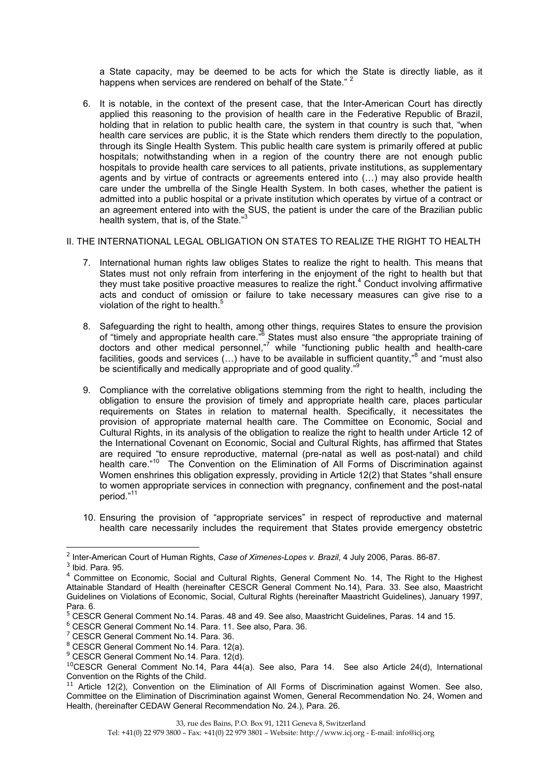a State capacity, may be deemed to be acts for which the State is directly liable, as it happens when services are rendered on behalf of the State."<sup>2</sup>

6. It is notable, in the context of the present case, that the Inter-American Court has directly applied this reasoning to the provision of health care in the Federative Republic of Brazil, holding that in relation to public health care, the system in that country is such that, "when health care services are public, it is the State which renders them directly to the population, through its Single Health System. This public health care system is primarily offered at public hospitals; notwithstanding when in a region of the country there are not enough public hospitals to provide health care services to all patients, private institutions, as supplementary agents and by virtue of contracts or agreements entered into (…) may also provide health care under the umbrella of the Single Health System. In both cases, whether the patient is admitted into a public hospital or a private institution which operates by virtue of a contract or an agreement entered into with the SUS, the patient is under the care of the Brazilian public health system, that is, of the State."<sup>3</sup>

#### II. THE INTERNATIONAL LEGAL OBLIGATION ON STATES TO REALIZE THE RIGHT TO HEALTH

- 7. International human rights law obliges States to realize the right to health. This means that States must not only refrain from interfering in the enjoyment of the right to health but that they must take positive proactive measures to realize the right.<sup>4</sup> Conduct involving affirmative acts and conduct of omission or failure to take necessary measures can give rise to a violation of the right to health.<sup>5</sup>
- 8. Safeguarding the right to health, among other things, requires States to ensure the provision of "timely and appropriate health care."<sup>6</sup> States must also ensure "the appropriate training of doctors and other medical personnel," while "functioning public health and health-care facilities, goods and services (...) have to be available in sufficient quantity,"<sup>8</sup> and "must also be scientifically and medically appropriate and of good quality."<sup>9</sup>
- 9. Compliance with the correlative obligations stemming from the right to health, including the obligation to ensure the provision of timely and appropriate health care, places particular requirements on States in relation to maternal health. Specifically, it necessitates the provision of appropriate maternal health care. The Committee on Economic, Social and Cultural Rights, in its analysis of the obligation to realize the right to health under Article 12 of the International Covenant on Economic, Social and Cultural Rights, has affirmed that States are required "to ensure reproductive, maternal (pre-natal as well as post-natal) and child health care."<sup>10</sup> The Convention on the Elimination of All Forms of Discrimination against Women enshrines this obligation expressly, providing in Article 12(2) that States "shall ensure to women appropriate services in connection with pregnancy, confinement and the post-natal period."<sup>11</sup>
- 10. Ensuring the provision of "appropriate services" in respect of reproductive and maternal health care necessarily includes the requirement that States provide emergency obstetric

<sup>2</sup> Inter-American Court of Human Rights, *Case of Ximenes-Lopes v. Brazil*, 4 July 2006, Paras. 86-87.

 $3$  Ibid. Para. 95.

<sup>4</sup> Committee on Economic, Social and Cultural Rights, General Comment No. 14, The Right to the Highest Attainable Standard of Health (hereinafter CESCR General Comment No.14), Para. 33. See also, Maastricht Guidelines on Violations of Economic, Social, Cultural Rights (hereinafter Maastricht Guidelines), January 1997, Para. 6.

<sup>5</sup> CESCR General Comment No.14. Paras. 48 and 49. See also, Maastricht Guidelines, Paras. 14 and 15.

<sup>6</sup> CESCR General Comment No.14. Para. 11. See also, Para. 36.

<sup>7</sup> CESCR General Comment No.14. Para. 36.

<sup>8</sup> CESCR General Comment No.14. Para. 12(a).

<sup>&</sup>lt;sup>9</sup> CESCR General Comment No.14. Para. 12(d).

<sup>&</sup>lt;sup>10</sup>CESCR General Comment No.14, Para 44(a). See also, Para 14. See also Article 24(d), International Convention on the Rights of the Child.

<sup>&</sup>lt;sup>11</sup> Article 12(2), Convention on the Elimination of All Forms of Discrimination against Women. See also, Committee on the Elimination of Discrimination against Women, General Recommendation No. 24, Women and Health, (hereinafter CEDAW General Recommendation No. 24.), Para. 26.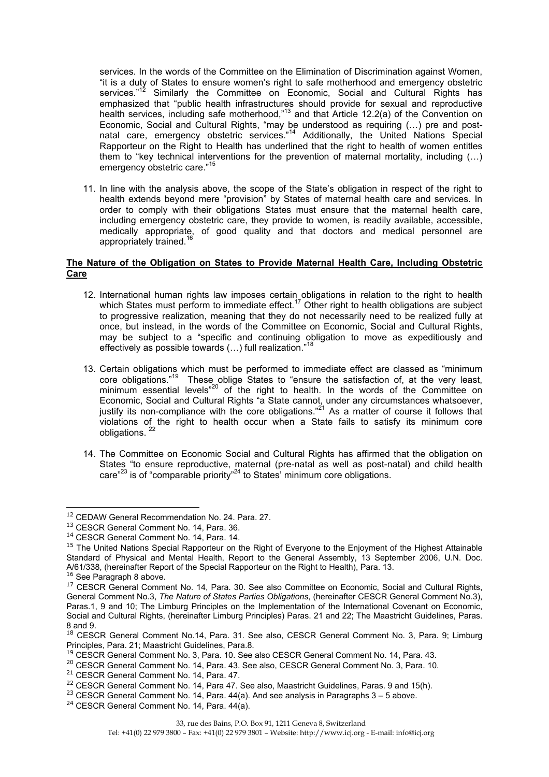services. In the words of the Committee on the Elimination of Discrimination against Women, "it is a duty of States to ensure women's right to safe motherhood and emergency obstetric services."<sup>12</sup> Similarly the Committee on Economic, Social and Cultural Rights has emphasized that "public health infrastructures should provide for sexual and reproductive health services, including safe motherhood,"13 and that Article 12.2(a) of the Convention on Economic, Social and Cultural Rights, "may be understood as requiring (…) pre and postnatal care, emergency obstetric services."<sup>14</sup> Additionally, the United Nations Special Rapporteur on the Right to Health has underlined that the right to health of women entitles them to "key technical interventions for the prevention of maternal mortality, including (…) emergency obstetric care."<sup>15</sup>

11. In line with the analysis above, the scope of the State's obligation in respect of the right to health extends beyond mere "provision" by States of maternal health care and services. In order to comply with their obligations States must ensure that the maternal health care, including emergency obstetric care, they provide to women, is readily available, accessible, medically appropriate, of good quality and that doctors and medical personnel are appropriately trained.<sup>1</sup>

#### **The Nature of the Obligation on States to Provide Maternal Health Care, Including Obstetric Care**

- 12. International human rights law imposes certain obligations in relation to the right to health which States must perform to immediate effect.<sup>17</sup> Other right to health obligations are subject to progressive realization, meaning that they do not necessarily need to be realized fully at once, but instead, in the words of the Committee on Economic, Social and Cultural Rights, may be subject to a "specific and continuing obligation to move as expeditiously and effectively as possible towards (...) full realization."<sup>18</sup>
- 13. Certain obligations which must be performed to immediate effect are classed as "minimum core obligations."<sup>19</sup> These oblige States to "ensure the satisfaction of, at the very least, minimum essential levels<sup>"20</sup> of the right to health. In the words of the Committee on Economic, Social and Cultural Rights "a State cannot, under any circumstances whatsoever, justify its non-compliance with the core obligations."21 As a matter of course it follows that violations of the right to health occur when a State fails to satisfy its minimum core obligations.
- 14. The Committee on Economic Social and Cultural Rights has affirmed that the obligation on States "to ensure reproductive, maternal (pre-natal as well as post-natal) and child health care $^{23}$  is of "comparable priority"<sup>24</sup> to States' minimum core obligations.

<sup>&</sup>lt;sup>12</sup> CEDAW General Recommendation No. 24. Para. 27.

<sup>&</sup>lt;sup>13</sup> CESCR General Comment No. 14, Para. 36.

<sup>&</sup>lt;sup>14</sup> CESCR General Comment No. 14, Para. 14.

<sup>&</sup>lt;sup>15</sup> The United Nations Special Rapporteur on the Right of Everyone to the Enjoyment of the Highest Attainable Standard of Physical and Mental Health, Report to the General Assembly, 13 September 2006, U.N. Doc. A/61/338, (hereinafter Report of the Special Rapporteur on the Right to Health), Para. 13. <sup>16</sup> See Paragraph 8 above.

<sup>&</sup>lt;sup>17</sup> CESCR General Comment No. 14, Para. 30. See also Committee on Economic, Social and Cultural Rights, General Comment No.3, *The Nature of States Parties Obligations*, (hereinafter CESCR General Comment No.3), Paras.1, 9 and 10; The Limburg Principles on the Implementation of the International Covenant on Economic, Social and Cultural Rights, (hereinafter Limburg Principles) Paras. 21 and 22; The Maastricht Guidelines, Paras. 8 and 9.

<sup>&</sup>lt;sup>18</sup> CESCR General Comment No.14, Para. 31. See also, CESCR General Comment No. 3, Para. 9; Limburg Principles, Para. 21; Maastricht Guidelines, Para.8.

<sup>&</sup>lt;sup>19</sup> CESCR General Comment No. 3, Para. 10. See also CESCR General Comment No. 14, Para. 43.

<sup>&</sup>lt;sup>20</sup> CESCR General Comment No. 14, Para. 43. See also, CESCR General Comment No. 3, Para. 10.

<sup>&</sup>lt;sup>21</sup> CESCR General Comment No. 14, Para. 47.

<sup>&</sup>lt;sup>22</sup> CESCR General Comment No. 14, Para 47. See also, Maastricht Guidelines, Paras. 9 and 15(h).

 $23$  CESCR General Comment No. 14, Para. 44(a). And see analysis in Paragraphs  $3 - 5$  above.

<sup>&</sup>lt;sup>24</sup> CESCR General Comment No. 14, Para. 44(a).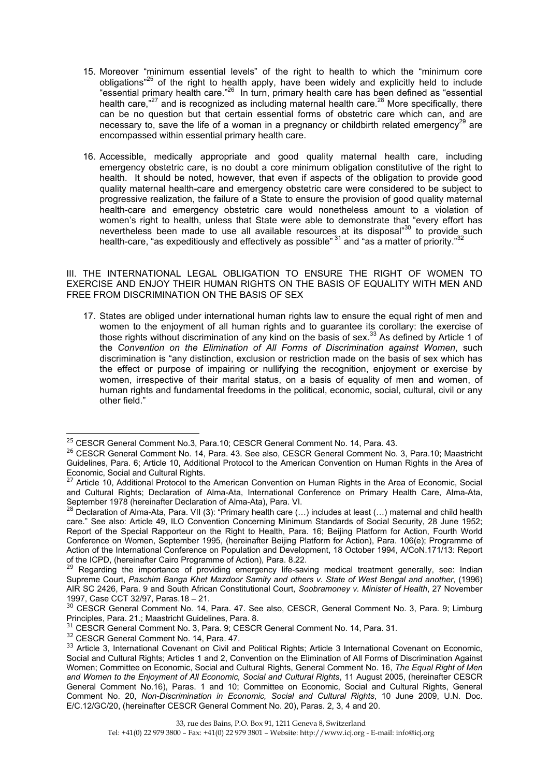- 15. Moreover "minimum essential levels" of the right to health to which the "minimum core obligations<sup>"25</sup> of the right to health apply, have been widely and explicitly held to include "essential primary health care."26 In turn, primary health care has been defined as "essential health care,"<sup>27</sup> and is recognized as including maternal health care.<sup>28</sup> More specifically, there can be no question but that certain essential forms of obstetric care which can, and are necessary to, save the life of a woman in a pregnancy or childbirth related emergency<sup>29</sup> are encompassed within essential primary health care.
- 16. Accessible, medically appropriate and good quality maternal health care, including emergency obstetric care, is no doubt a core minimum obligation constitutive of the right to health. It should be noted, however, that even if aspects of the obligation to provide good quality maternal health-care and emergency obstetric care were considered to be subject to progressive realization, the failure of a State to ensure the provision of good quality maternal health-care and emergency obstetric care would nonetheless amount to a violation of women's right to health, unless that State were able to demonstrate that "every effort has nevertheless been made to use all available resources at its disposal"<sup>30</sup> to provide such health-care, "as expeditiously and effectively as possible" <sup>31</sup> and "as a matter of priority."<sup>31</sup>

III. THE INTERNATIONAL LEGAL OBLIGATION TO ENSURE THE RIGHT OF WOMEN TO EXERCISE AND ENJOY THEIR HUMAN RIGHTS ON THE BASIS OF EQUALITY WITH MEN AND FREE FROM DISCRIMINATION ON THE BASIS OF SEX

17. States are obliged under international human rights law to ensure the equal right of men and women to the enjoyment of all human rights and to guarantee its corollary: the exercise of those rights without discrimination of any kind on the basis of sex. $^{33}$  As defined by Article 1 of the *Convention on the Elimination of All Forms of Discrimination against Women*, such discrimination is "any distinction, exclusion or restriction made on the basis of sex which has the effect or purpose of impairing or nullifying the recognition, enjoyment or exercise by women, irrespective of their marital status, on a basis of equality of men and women, of human rights and fundamental freedoms in the political, economic, social, cultural, civil or any other field."

<sup>&</sup>lt;sup>25</sup> CESCR General Comment No.3, Para.10; CESCR General Comment No. 14, Para. 43.

<sup>&</sup>lt;sup>26</sup> CESCR General Comment No. 14, Para. 43. See also, CESCR General Comment No. 3, Para.10; Maastricht Guidelines, Para. 6; Article 10, Additional Protocol to the American Convention on Human Rights in the Area of Economic, Social and Cultural Rights.

<sup>&</sup>lt;sup>27</sup> Article 10, Additional Protocol to the American Convention on Human Rights in the Area of Economic, Social and Cultural Rights; Declaration of Alma-Ata, International Conference on Primary Health Care, Alma-Ata, September 1978 (hereinafter Declaration of Alma-Ata), Para. VI.

 $28$  Declaration of Alma-Ata, Para. VII (3): "Primary health care (...) includes at least (...) maternal and child health care." See also: Article 49, ILO Convention Concerning Minimum Standards of Social Security, 28 June 1952; Report of the Special Rapporteur on the Right to Health, Para. 16; Beijing Platform for Action, Fourth World Conference on Women, September 1995, (hereinafter Beijing Platform for Action), Para. 106(e); Programme of Action of the International Conference on Population and Development, 18 October 1994, A/CoN.171/13: Report of the ICPD, (hereinafter Cairo Programme of Action), Para. 8.22.

<sup>&</sup>lt;sup>29</sup> Regarding the importance of providing emergency life-saving medical treatment generally, see: Indian Supreme Court, *Paschim Banga Khet Mazdoor Samity and others v. State of West Bengal and another*, (1996) AIR SC 2426, Para. 9 and South African Constitutional Court, *Soobramoney v. Minister of Health*, 27 November 1997, Case CCT 32/97, Paras.18 – 21.

<sup>&</sup>lt;sup>30</sup> CESCR General Comment No. 14, Para. 47. See also, CESCR, General Comment No. 3, Para. 9; Limburg Principles, Para. 21.; Maastricht Guidelines, Para. 8.

<sup>&</sup>lt;sup>31</sup> CESCR General Comment No. 3, Para. 9; CESCR General Comment No. 14, Para. 31.

<sup>&</sup>lt;sup>32</sup> CESCR General Comment No. 14, Para. 47.

<sup>&</sup>lt;sup>33</sup> Article 3, International Covenant on Civil and Political Rights; Article 3 International Covenant on Economic, Social and Cultural Rights; Articles 1 and 2, Convention on the Elimination of All Forms of Discrimination Against Women; Committee on Economic, Social and Cultural Rights, General Comment No. 16, *The Equal Right of Men and Women to the Enjoyment of All Economic, Social and Cultural Rights*, 11 August 2005, (hereinafter CESCR General Comment No.16), Paras. 1 and 10; Committee on Economic, Social and Cultural Rights, General Comment No. 20, *Non-Discrimination in Economic, Social and Cultural Rights*, 10 June 2009, U.N. Doc. E/C.12/GC/20, (hereinafter CESCR General Comment No. 20), Paras. 2, 3, 4 and 20.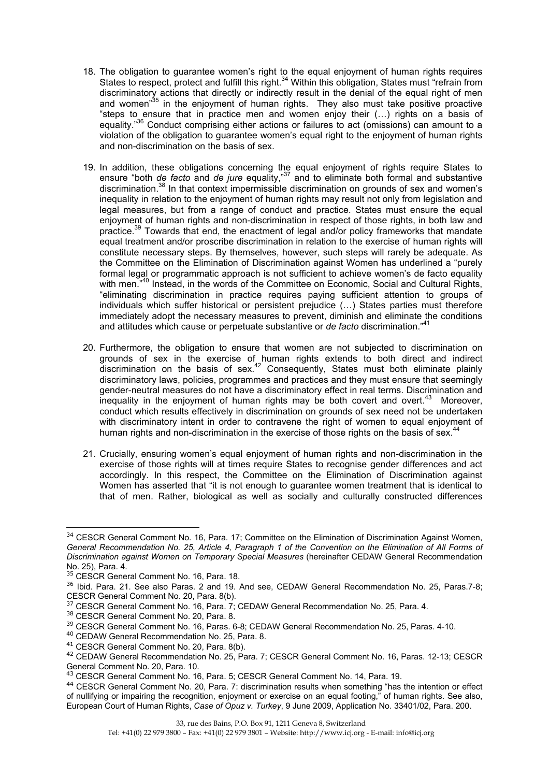- 18. The obligation to guarantee women's right to the equal enjoyment of human rights requires States to respect, protect and fulfill this right.<sup>34</sup> Within this obligation, States must "refrain from discriminatory actions that directly or indirectly result in the denial of the equal right of men and women<sup>35</sup> in the enjoyment of human rights. They also must take positive proactive "steps to ensure that in practice men and women enjoy their (…) rights on a basis of equality."<sup>36</sup> Conduct comprising either actions or failures to act (omissions) can amount to a violation of the obligation to guarantee women's equal right to the enjoyment of human rights and non-discrimination on the basis of sex.
- 19. In addition, these obligations concerning the equal enjoyment of rights require States to ensure "both *de facto* and *de jure* equality,"37 and to eliminate both formal and substantive discrimination.38 In that context impermissible discrimination on grounds of sex and women's inequality in relation to the enjoyment of human rights may result not only from legislation and legal measures, but from a range of conduct and practice. States must ensure the equal enjoyment of human rights and non-discrimination in respect of those rights, in both law and practice.39 Towards that end, the enactment of legal and/or policy frameworks that mandate equal treatment and/or proscribe discrimination in relation to the exercise of human rights will constitute necessary steps. By themselves, however, such steps will rarely be adequate. As the Committee on the Elimination of Discrimination against Women has underlined a "purely formal legal or programmatic approach is not sufficient to achieve women's de facto equality with men.<sup>"40</sup> Instead, in the words of the Committee on Economic, Social and Cultural Rights, "eliminating discrimination in practice requires paying sufficient attention to groups of individuals which suffer historical or persistent prejudice (…) States parties must therefore immediately adopt the necessary measures to prevent, diminish and eliminate the conditions and attitudes which cause or perpetuate substantive or *de facto* discrimination."<sup>41</sup>
- 20. Furthermore, the obligation to ensure that women are not subjected to discrimination on grounds of sex in the exercise of human rights extends to both direct and indirect discrimination on the basis of sex.<sup>42</sup> Consequently, States must both eliminate plainly discriminatory laws, policies, programmes and practices and they must ensure that seemingly gender-neutral measures do not have a discriminatory effect in real terms. Discrimination and inequality in the enjoyment of human rights may be both covert and overt.<sup>43</sup> Moreover, conduct which results effectively in discrimination on grounds of sex need not be undertaken with discriminatory intent in order to contravene the right of women to equal enjoyment of human rights and non-discrimination in the exercise of those rights on the basis of sex.<sup>4</sup>
- 21. Crucially, ensuring women's equal enjoyment of human rights and non-discrimination in the exercise of those rights will at times require States to recognise gender differences and act accordingly. In this respect, the Committee on the Elimination of Discrimination against Women has asserted that "it is not enough to guarantee women treatment that is identical to that of men. Rather, biological as well as socially and culturally constructed differences

<sup>&</sup>lt;sup>34</sup> CESCR General Comment No. 16, Para. 17; Committee on the Elimination of Discrimination Against Women, *General Recommendation No. 25, Article 4, Paragraph 1 of the Convention on the Elimination of All Forms of Discrimination against Women on Temporary Special Measures* (hereinafter CEDAW General Recommendation No. 25), Para. 4.

<sup>&</sup>lt;sup>35</sup> CESCR General Comment No. 16, Para. 18.

<sup>&</sup>lt;sup>36</sup> Ibid. Para. 21. See also Paras. 2 and 19. And see, CEDAW General Recommendation No. 25, Paras.7-8; CESCR General Comment No. 20, Para. 8(b).

<sup>&</sup>lt;sup>37</sup> CESCR General Comment No. 16, Para. 7; CEDAW General Recommendation No. 25, Para. 4.

<sup>38</sup> CESCR General Comment No. 20, Para. 8.

<sup>&</sup>lt;sup>39</sup> CESCR General Comment No. 16, Paras. 6-8; CEDAW General Recommendation No. 25, Paras. 4-10.

<sup>40</sup> CEDAW General Recommendation No. 25, Para. 8.

<sup>41</sup> CESCR General Comment No. 20, Para. 8(b).

<sup>42</sup> CEDAW General Recommendation No. 25, Para. 7; CESCR General Comment No. 16, Paras. 12-13; CESCR General Comment No. 20, Para. 10.

<sup>43</sup> CESCR General Comment No. 16, Para. 5; CESCR General Comment No. 14, Para. 19.

<sup>44</sup> CESCR General Comment No. 20, Para. 7: discrimination results when something "has the intention or effect of nullifying or impairing the recognition, enjoyment or exercise on an equal footing," of human rights. See also, European Court of Human Rights, *Case of Opuz v. Turkey*, 9 June 2009, Application No. 33401/02, Para. 200.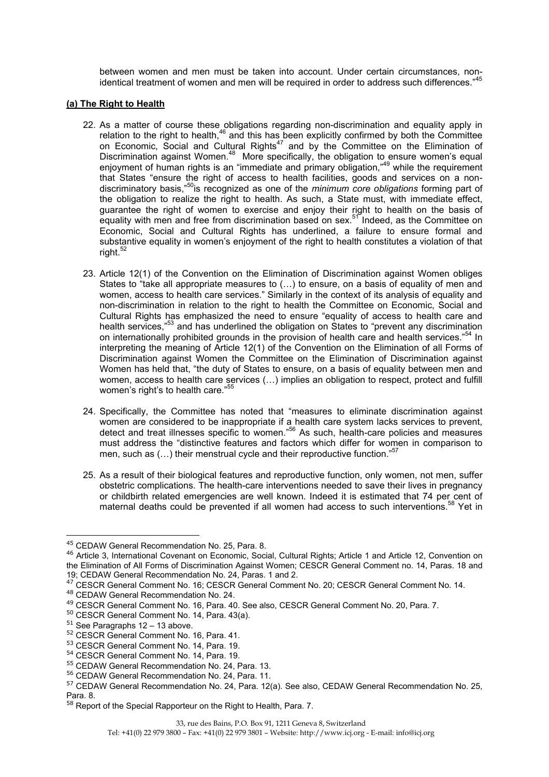between women and men must be taken into account. Under certain circumstances, nonidentical treatment of women and men will be required in order to address such differences."<sup>45</sup>

#### **(a) The Right to Health**

- 22. As a matter of course these obligations regarding non-discrimination and equality apply in relation to the right to health, $46$  and this has been explicitly confirmed by both the Committee on Economic, Social and Cultural Rights<sup>47</sup> and by the Committee on the Elimination of Discrimination against Women.<sup>48</sup> More specifically, the obligation to ensure women's equal enjoyment of human rights is an "immediate and primary obligation,"<sup>49</sup> while the requirement that States "ensure the right of access to health facilities, goods and services on a nondiscriminatory basis,"50is recognized as one of the *minimum core obligations* forming part of the obligation to realize the right to health. As such, a State must, with immediate effect, guarantee the right of women to exercise and enjoy their right to health on the basis of equality with men and free from discrimination based on sex.<sup>51</sup> Indeed, as the Committee on Economic, Social and Cultural Rights has underlined, a failure to ensure formal and substantive equality in women's enjoyment of the right to health constitutes a violation of that right.<sup>52</sup>
- 23. Article 12(1) of the Convention on the Elimination of Discrimination against Women obliges States to "take all appropriate measures to (…) to ensure, on a basis of equality of men and women, access to health care services." Similarly in the context of its analysis of equality and non-discrimination in relation to the right to health the Committee on Economic, Social and Cultural Rights has emphasized the need to ensure "equality of access to health care and health services,"<sup>53</sup> and has underlined the obligation on States to "prevent any discrimination" on internationally prohibited grounds in the provision of health care and health services."<sup>54</sup> In interpreting the meaning of Article 12(1) of the Convention on the Elimination of all Forms of Discrimination against Women the Committee on the Elimination of Discrimination against Women has held that, "the duty of States to ensure, on a basis of equality between men and women, access to health care services (…) implies an obligation to respect, protect and fulfill women's right's to health care."<sup>55</sup>
- 24. Specifically, the Committee has noted that "measures to eliminate discrimination against women are considered to be inappropriate if a health care system lacks services to prevent, detect and treat illnesses specific to women."<sup>56</sup> As such, health-care policies and measures must address the "distinctive features and factors which differ for women in comparison to men, such as  $(...)$  their menstrual cycle and their reproductive function." $57$
- 25. As a result of their biological features and reproductive function, only women, not men, suffer obstetric complications. The health-care interventions needed to save their lives in pregnancy or childbirth related emergencies are well known. Indeed it is estimated that 74 per cent of maternal deaths could be prevented if all women had access to such interventions.<sup>58</sup> Yet in

<sup>45</sup> CEDAW General Recommendation No. 25, Para. 8.

<sup>&</sup>lt;sup>46</sup> Article 3, International Covenant on Economic, Social, Cultural Rights; Article 1 and Article 12, Convention on the Elimination of All Forms of Discrimination Against Women; CESCR General Comment no. 14, Paras. 18 and 19; CEDAW General Recommendation No. 24, Paras. 1 and 2.

<sup>47</sup> CESCR General Comment No. 16; CESCR General Comment No. 20; CESCR General Comment No. 14.

<sup>48</sup> CEDAW General Recommendation No. 24.

<sup>49</sup> CESCR General Comment No. 16, Para. 40. See also, CESCR General Comment No. 20, Para. 7.

<sup>50</sup> CESCR General Comment No. 14, Para. 43(a).

 $51$  See Paragraphs 12 – 13 above.

<sup>&</sup>lt;sup>52</sup> CESCR General Comment No. 16, Para. 41.

<sup>53</sup> CESCR General Comment No. 14, Para. 19.

<sup>54</sup> CESCR General Comment No. 14, Para. 19.

<sup>55</sup> CEDAW General Recommendation No. 24, Para. 13.

<sup>56</sup> CEDAW General Recommendation No. 24, Para. 11.

<sup>57</sup> CEDAW General Recommendation No. 24, Para. 12(a). See also, CEDAW General Recommendation No. 25, Para. 8.

<sup>&</sup>lt;sup>58</sup> Report of the Special Rapporteur on the Right to Health, Para. 7.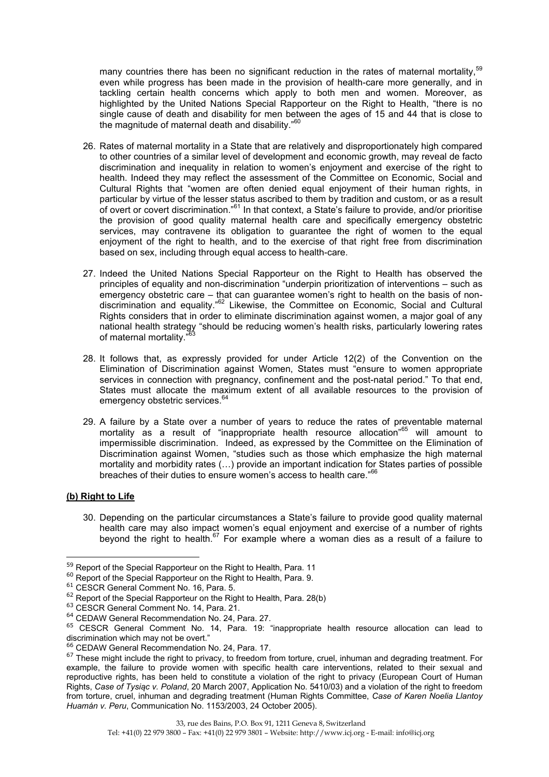many countries there has been no significant reduction in the rates of maternal mortality,<sup>59</sup> even while progress has been made in the provision of health-care more generally, and in tackling certain health concerns which apply to both men and women. Moreover, as highlighted by the United Nations Special Rapporteur on the Right to Health, "there is no single cause of death and disability for men between the ages of 15 and 44 that is close to the magnitude of maternal death and disability."<sup>60</sup>

- 26. Rates of maternal mortality in a State that are relatively and disproportionately high compared to other countries of a similar level of development and economic growth, may reveal de facto discrimination and inequality in relation to women's enjoyment and exercise of the right to health. Indeed they may reflect the assessment of the Committee on Economic, Social and Cultural Rights that "women are often denied equal enjoyment of their human rights, in particular by virtue of the lesser status ascribed to them by tradition and custom, or as a result of overt or covert discrimination."61 In that context, a State's failure to provide, and/or prioritise the provision of good quality maternal health care and specifically emergency obstetric services, may contravene its obligation to guarantee the right of women to the equal enjoyment of the right to health, and to the exercise of that right free from discrimination based on sex, including through equal access to health-care.
- 27. Indeed the United Nations Special Rapporteur on the Right to Health has observed the principles of equality and non-discrimination "underpin prioritization of interventions – such as emergency obstetric care – that can guarantee women's right to health on the basis of nondiscrimination and equality."62 Likewise, the Committee on Economic, Social and Cultural Rights considers that in order to eliminate discrimination against women, a major goal of any national health strategy "should be reducing women's health risks, particularly lowering rates of maternal mortality.'
- 28. It follows that, as expressly provided for under Article 12(2) of the Convention on the Elimination of Discrimination against Women, States must "ensure to women appropriate services in connection with pregnancy, confinement and the post-natal period." To that end, States must allocate the maximum extent of all available resources to the provision of emergency obstetric services.<sup>6</sup>
- 29. A failure by a State over a number of years to reduce the rates of preventable maternal mortality as a result of "inappropriate health resource allocation"<sup>65</sup> will amount to impermissible discrimination. Indeed, as expressed by the Committee on the Elimination of Discrimination against Women, "studies such as those which emphasize the high maternal mortality and morbidity rates (…) provide an important indication for States parties of possible breaches of their duties to ensure women's access to health care."<sup>66</sup>

#### **(b) Right to Life**

 $\overline{a}$ 

30. Depending on the particular circumstances a State's failure to provide good quality maternal health care may also impact women's equal enjoyment and exercise of a number of rights beyond the right to health. $67$  For example where a woman dies as a result of a failure to

<sup>&</sup>lt;sup>59</sup> Report of the Special Rapporteur on the Right to Health, Para. 11

 $60$  Report of the Special Rapporteur on the Right to Health, Para. 9.

<sup>61</sup> CESCR General Comment No. 16, Para. 5.

 $62$  Report of the Special Rapporteur on the Right to Health, Para. 28(b)

<sup>63</sup> CESCR General Comment No. 14, Para. 21.

<sup>64</sup> CEDAW General Recommendation No. 24, Para. 27.

<sup>65</sup> CESCR General Comment No. 14, Para. 19: "inappropriate health resource allocation can lead to discrimination which may not be overt.'

<sup>66</sup> CEDAW General Recommendation No. 24, Para. 17.

<sup>&</sup>lt;sup>67</sup> These might include the right to privacy, to freedom from torture, cruel, inhuman and degrading treatment. For example, the failure to provide women with specific health care interventions, related to their sexual and reproductive rights, has been held to constitute a violation of the right to privacy (European Court of Human Rights, *Case of Tysi!c v. Poland*, 20 March 2007, Application No. 5410/03) and a violation of the right to freedom from torture, cruel, inhuman and degrading treatment (Human Rights Committee, *Case of Karen Noelia Llantoy Huamán v. Peru*, Communication No. 1153/2003, 24 October 2005).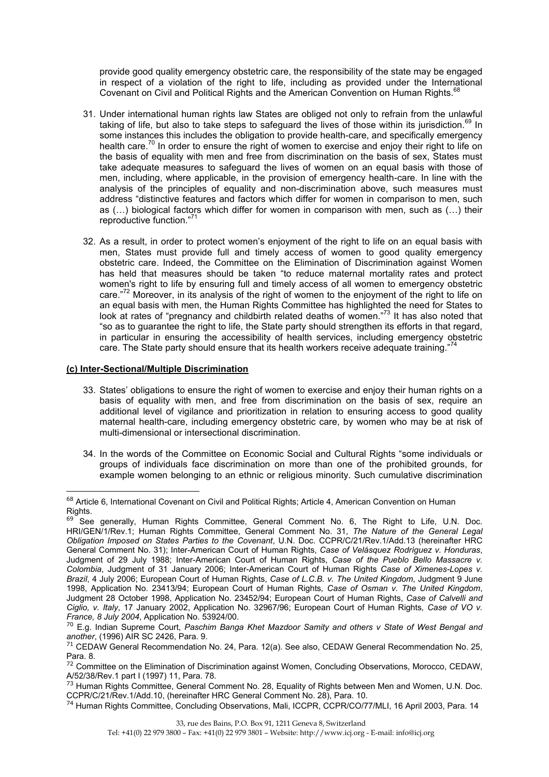provide good quality emergency obstetric care, the responsibility of the state may be engaged in respect of a violation of the right to life, including as provided under the International Covenant on Civil and Political Rights and the American Convention on Human Rights.<sup>68</sup>

- 31. Under international human rights law States are obliged not only to refrain from the unlawful taking of life, but also to take steps to safeguard the lives of those within its jurisdiction.<sup>69</sup> In some instances this includes the obligation to provide health-care, and specifically emergency health care.<sup>70</sup> In order to ensure the right of women to exercise and enjoy their right to life on the basis of equality with men and free from discrimination on the basis of sex, States must take adequate measures to safeguard the lives of women on an equal basis with those of men, including, where applicable, in the provision of emergency health-care. In line with the analysis of the principles of equality and non-discrimination above, such measures must address "distinctive features and factors which differ for women in comparison to men, such as (…) biological factors which differ for women in comparison with men, such as (…) their reproductive function."<sup>71</sup>
- 32. As a result, in order to protect women's enjoyment of the right to life on an equal basis with men, States must provide full and timely access of women to good quality emergency obstetric care. Indeed, the Committee on the Elimination of Discrimination against Women has held that measures should be taken "to reduce maternal mortality rates and protect women's right to life by ensuring full and timely access of all women to emergency obstetric care."72 Moreover, in its analysis of the right of women to the enjoyment of the right to life on an equal basis with men, the Human Rights Committee has highlighted the need for States to look at rates of "pregnancy and childbirth related deaths of women."73 It has also noted that "so as to guarantee the right to life, the State party should strengthen its efforts in that regard, in particular in ensuring the accessibility of health services, including emergency obstetric care. The State party should ensure that its health workers receive adequate training."

## **(c) Inter-Sectional/Multiple Discrimination**

- 33. States' obligations to ensure the right of women to exercise and enjoy their human rights on a basis of equality with men, and free from discrimination on the basis of sex, require an additional level of vigilance and prioritization in relation to ensuring access to good quality maternal health-care, including emergency obstetric care, by women who may be at risk of multi-dimensional or intersectional discrimination.
- 34. In the words of the Committee on Economic Social and Cultural Rights "some individuals or groups of individuals face discrimination on more than one of the prohibited grounds, for example women belonging to an ethnic or religious minority. Such cumulative discrimination

<sup>&</sup>lt;sup>68</sup> Article 6, International Covenant on Civil and Political Rights; Article 4, American Convention on Human Rights.

 $69$  See generally, Human Rights Committee, General Comment No. 6, The Right to Life, U.N. Doc. HRI/GEN/1/Rev.1; Human Rights Committee, General Comment No. 31, *The Nature of the General Legal Obligation Imposed on States Parties to the Covenant*, U.N. Doc. CCPR/C/21/Rev.1/Add.13 (hereinafter HRC General Comment No. 31); Inter-American Court of Human Rights, *Case of Velásquez Rodríguez v. Honduras*, Judgment of 29 July 1988; Inter-American Court of Human Rights, *Case of the Pueblo Bello Massacre v. Colombia*, Judgment of 31 January 2006; Inter-American Court of Human Rights *Case of Ximenes-Lopes v. Brazil*, 4 July 2006; European Court of Human Rights, *Case of L.C.B. v. The United Kingdom*, Judgment 9 June 1998, Application No. 23413/94; European Court of Human Rights*, Case of Osman v. The United Kingdom*, Judgment 28 October 1998, Application No. 23452/94; European Court of Human Rights, *Case of Calvelli and Ciglio, v. Italy*, 17 January 2002, Application No. 32967/96; European Court of Human Rights*, Case of VO v. France, 8 July 2004*, Application No. 53924/00.

<sup>70</sup> E.g. Indian Supreme Court, *Paschim Banga Khet Mazdoor Samity and others v State of West Bengal and another*, (1996) AIR SC 2426, Para. 9.

<sup>&</sup>lt;sup>71</sup> CEDAW General Recommendation No. 24, Para. 12(a). See also, CEDAW General Recommendation No. 25, Para. 8.

<sup>&</sup>lt;sup>72</sup> Committee on the Elimination of Discrimination against Women, Concluding Observations, Morocco, CEDAW, A/52/38/Rev.1 part I (1997) 11, Para. 78.

<sup>&</sup>lt;sup>73</sup> Human Rights Committee, General Comment No. 28, Equality of Rights between Men and Women, U.N. Doc. CCPR/C/21/Rev.1/Add.10, (hereinafter HRC General Comment No. 28), Para. 10.

<sup>&</sup>lt;sup>74</sup> Human Rights Committee, Concluding Observations, Mali, ICCPR, CCPR/CO/77/MLI, 16 April 2003, Para. 14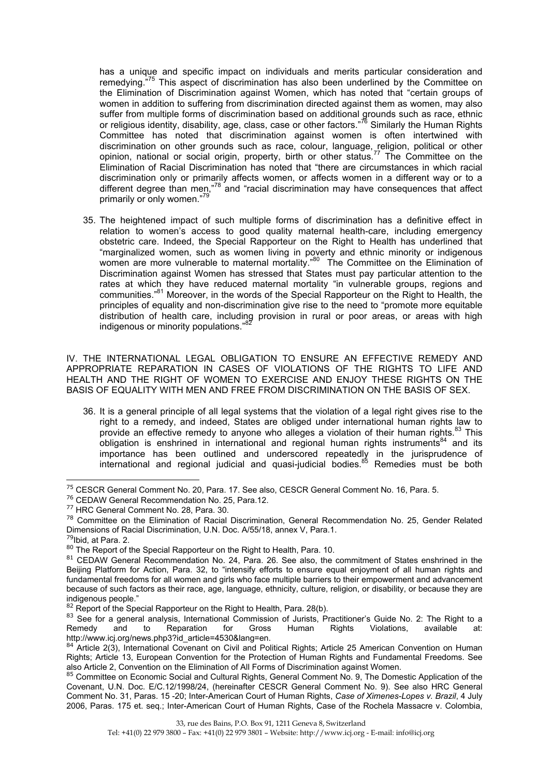has a unique and specific impact on individuals and merits particular consideration and remedying.<sup>"75</sup> This aspect of discrimination has also been underlined by the Committee on the Elimination of Discrimination against Women, which has noted that "certain groups of women in addition to suffering from discrimination directed against them as women, may also suffer from multiple forms of discrimination based on additional grounds such as race, ethnic or religious identity, disability, age, class, case or other factors."<sup>76</sup> Similarly the Human Rights Committee has noted that discrimination against women is often intertwined with discrimination on other grounds such as race, colour, language, religion, political or other opinion, national or social origin, property, birth or other status.<sup>77</sup> The Committee on the Elimination of Racial Discrimination has noted that "there are circumstances in which racial discrimination only or primarily affects women, or affects women in a different way or to a different degree than men,"<sup>78</sup> and "racial discrimination may have consequences that affect primarily or only women."<sup>79</sup>

35. The heightened impact of such multiple forms of discrimination has a definitive effect in relation to women's access to good quality maternal health-care, including emergency obstetric care. Indeed, the Special Rapporteur on the Right to Health has underlined that "marginalized women, such as women living in poverty and ethnic minority or indigenous women are more vulnerable to maternal mortality."<sup>80</sup> The Committee on the Elimination of Discrimination against Women has stressed that States must pay particular attention to the rates at which they have reduced maternal mortality "in vulnerable groups, regions and communities."81 Moreover, in the words of the Special Rapporteur on the Right to Health, the principles of equality and non-discrimination give rise to the need to "promote more equitable distribution of health care, including provision in rural or poor areas, or areas with high indigenous or minority populations."<sup>82</sup>

IV. THE INTERNATIONAL LEGAL OBLIGATION TO ENSURE AN EFFECTIVE REMEDY AND APPROPRIATE REPARATION IN CASES OF VIOLATIONS OF THE RIGHTS TO LIFE AND HEALTH AND THE RIGHT OF WOMEN TO EXERCISE AND ENJOY THESE RIGHTS ON THE BASIS OF EQUALITY WITH MEN AND FREE FROM DISCRIMINATION ON THE BASIS OF SEX.

36. It is a general principle of all legal systems that the violation of a legal right gives rise to the right to a remedy, and indeed, States are obliged under international human rights law to provide an effective remedy to anyone who alleges a violation of their human rights.<sup>83</sup> This obligation is enshrined in international and regional human rights instruments<sup>84</sup> and its importance has been outlined and underscored repeatedly in the jurisprudence of international and regional judicial and quasi-judicial bodies.<sup>85</sup> Remedies must be both

<sup>75</sup> CESCR General Comment No. 20, Para. 17. See also, CESCR General Comment No. 16, Para. 5.

<sup>76</sup> CEDAW General Recommendation No. 25, Para.12.

<sup>77</sup> HRC General Comment No. 28, Para. 30.

<sup>&</sup>lt;sup>78</sup> Committee on the Elimination of Racial Discrimination, General Recommendation No. 25, Gender Related Dimensions of Racial Discrimination, U.N. Doc. A/55/18, annex V, Para.1.

<sup>&</sup>lt;sup>79</sup>Ibid, at Para. 2.

<sup>80</sup> The Report of the Special Rapporteur on the Right to Health, Para. 10.

<sup>&</sup>lt;sup>81</sup> CEDAW General Recommendation No. 24, Para. 26. See also, the commitment of States enshrined in the Beijing Platform for Action, Para. 32, to "intensify efforts to ensure equal enjoyment of all human rights and fundamental freedoms for all women and girls who face multiple barriers to their empowerment and advancement because of such factors as their race, age, language, ethnicity, culture, religion, or disability, or because they are indigenous people."

<sup>&</sup>lt;sup>82</sup> Report of the Special Rapporteur on the Right to Health, Para. 28(b).

<sup>83</sup> See for a general analysis, International Commission of Jurists, Practitioner's Guide No. 2: The Right to a Remedy and to Reparation for Gross Human Rights Violations, available at: http://www.icj.org/news.php3?id\_article=4530&lang=en.

<sup>84</sup> Article 2(3), International Covenant on Civil and Political Rights; Article 25 American Convention on Human Rights; Article 13, European Convention for the Protection of Human Rights and Fundamental Freedoms. See also Article 2, Convention on the Elimination of All Forms of Discrimination against Women.

<sup>85</sup> Committee on Economic Social and Cultural Rights, General Comment No. 9, The Domestic Application of the Covenant, U.N. Doc. E/C.12/1998/24, (hereinafter CESCR General Comment No. 9). See also HRC General Comment No. 31, Paras. 15 -20; Inter-American Court of Human Rights, *Case of Ximenes-Lopes v. Brazil*, 4 July 2006, Paras. 175 et. seq.; Inter-American Court of Human Rights, Case of the Rochela Massacre v. Colombia,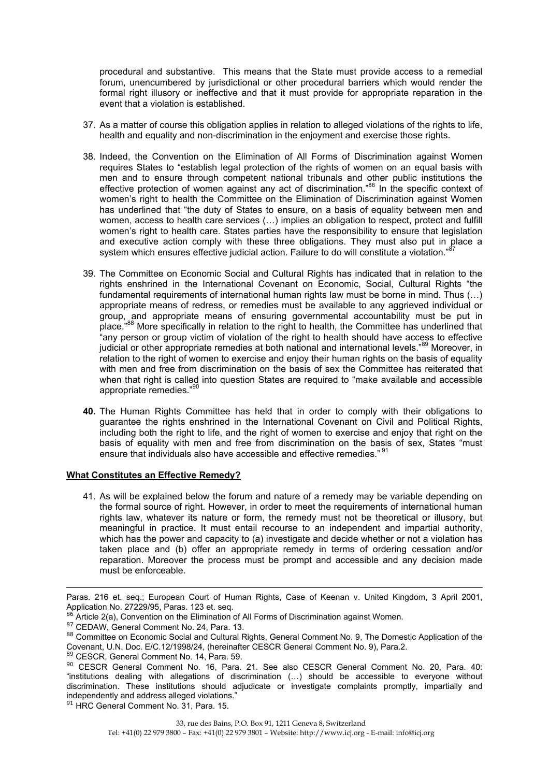procedural and substantive. This means that the State must provide access to a remedial forum, unencumbered by jurisdictional or other procedural barriers which would render the formal right illusory or ineffective and that it must provide for appropriate reparation in the event that a violation is established.

- 37. As a matter of course this obligation applies in relation to alleged violations of the rights to life, health and equality and non-discrimination in the enjoyment and exercise those rights.
- 38. Indeed, the Convention on the Elimination of All Forms of Discrimination against Women requires States to "establish legal protection of the rights of women on an equal basis with men and to ensure through competent national tribunals and other public institutions the effective protection of women against any act of discrimination.<sup>86</sup> In the specific context of women's right to health the Committee on the Elimination of Discrimination against Women has underlined that "the duty of States to ensure, on a basis of equality between men and women, access to health care services (…) implies an obligation to respect, protect and fulfill women's right to health care. States parties have the responsibility to ensure that legislation and executive action comply with these three obligations. They must also put in place a system which ensures effective judicial action. Failure to do will constitute a violation."<sup>8</sup>
- 39. The Committee on Economic Social and Cultural Rights has indicated that in relation to the rights enshrined in the International Covenant on Economic, Social, Cultural Rights "the fundamental requirements of international human rights law must be borne in mind. Thus (…) appropriate means of redress, or remedies must be available to any aggrieved individual or group, and appropriate means of ensuring governmental accountability must be put in place."88 More specifically in relation to the right to health, the Committee has underlined that "any person or group victim of violation of the right to health should have access to effective judicial or other appropriate remedies at both national and international levels."<sup>89</sup> Moreover, in relation to the right of women to exercise and enjoy their human rights on the basis of equality with men and free from discrimination on the basis of sex the Committee has reiterated that when that right is called into question States are required to "make available and accessible appropriate remedies."<sup>90</sup>
- **40.** The Human Rights Committee has held that in order to comply with their obligations to guarantee the rights enshrined in the International Covenant on Civil and Political Rights, including both the right to life, and the right of women to exercise and enjoy that right on the basis of equality with men and free from discrimination on the basis of sex, States "must ensure that individuals also have accessible and effective remedies." <sup>91</sup>

#### **What Constitutes an Effective Remedy?**

41. As will be explained below the forum and nature of a remedy may be variable depending on the formal source of right. However, in order to meet the requirements of international human rights law, whatever its nature or form, the remedy must not be theoretical or illusory, but meaningful in practice. It must entail recourse to an independent and impartial authority, which has the power and capacity to (a) investigate and decide whether or not a violation has taken place and (b) offer an appropriate remedy in terms of ordering cessation and/or reparation. Moreover the process must be prompt and accessible and any decision made must be enforceable.

<sup>91</sup> HRC General Comment No. 31, Para. 15.

 $\overline{a}$ Paras. 216 et. seq.; European Court of Human Rights, Case of Keenan v. United Kingdom, 3 April 2001, Application No. 27229/95, Paras. 123 et. seq.

 $86$  Article 2(a), Convention on the Elimination of All Forms of Discrimination against Women.

<sup>87</sup> CEDAW, General Comment No. 24, Para. 13.

<sup>88</sup> Committee on Economic Social and Cultural Rights, General Comment No. 9, The Domestic Application of the Covenant, U.N. Doc. E/C.12/1998/24, (hereinafter CESCR General Comment No. 9), Para.2.

<sup>89</sup> CESCR, General Comment No. 14, Para. 59.

<sup>90</sup> CESCR General Comment No. 16, Para. 21. See also CESCR General Comment No. 20, Para. 40: "institutions dealing with allegations of discrimination (…) should be accessible to everyone without discrimination. These institutions should adjudicate or investigate complaints promptly, impartially and independently and address alleged violations."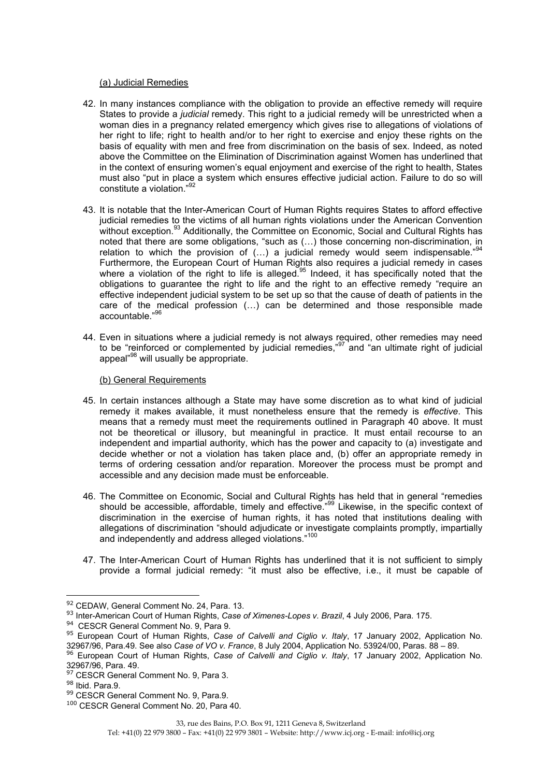#### (a) Judicial Remedies

- 42. In many instances compliance with the obligation to provide an effective remedy will require States to provide a *judicial* remedy. This right to a judicial remedy will be unrestricted when a woman dies in a pregnancy related emergency which gives rise to allegations of violations of her right to life; right to health and/or to her right to exercise and enjoy these rights on the basis of equality with men and free from discrimination on the basis of sex. Indeed, as noted above the Committee on the Elimination of Discrimination against Women has underlined that in the context of ensuring women's equal enjoyment and exercise of the right to health, States must also "put in place a system which ensures effective judicial action. Failure to do so will constitute a violation."<sup>92</sup>
- 43. It is notable that the Inter-American Court of Human Rights requires States to afford effective judicial remedies to the victims of all human rights violations under the American Convention without exception.<sup>93</sup> Additionally, the Committee on Economic, Social and Cultural Rights has noted that there are some obligations, "such as (…) those concerning non-discrimination, in relation to which the provision of  $(...)$  a judicial remedy would seem indispensable."<sup>94</sup> Furthermore, the European Court of Human Rights also requires a judicial remedy in cases where a violation of the right to life is alleged.<sup>95</sup> Indeed, it has specifically noted that the obligations to guarantee the right to life and the right to an effective remedy "require an effective independent judicial system to be set up so that the cause of death of patients in the care of the medical profession (…) can be determined and those responsible made accountable."<sup>96</sup>
- 44. Even in situations where a judicial remedy is not always required, other remedies may need to be "reinforced or complemented by judicial remedies,"97 and "an ultimate right of judicial appeal"98 will usually be appropriate.

## (b) General Requirements

- 45. In certain instances although a State may have some discretion as to what kind of judicial remedy it makes available, it must nonetheless ensure that the remedy is *effective*. This means that a remedy must meet the requirements outlined in Paragraph 40 above. It must not be theoretical or illusory, but meaningful in practice. It must entail recourse to an independent and impartial authority, which has the power and capacity to (a) investigate and decide whether or not a violation has taken place and, (b) offer an appropriate remedy in terms of ordering cessation and/or reparation. Moreover the process must be prompt and accessible and any decision made must be enforceable.
- 46. The Committee on Economic, Social and Cultural Rights has held that in general "remedies should be accessible, affordable, timely and effective.<sup>999</sup> Likewise, in the specific context of discrimination in the exercise of human rights, it has noted that institutions dealing with allegations of discrimination "should adjudicate or investigate complaints promptly, impartially and independently and address alleged violations."<sup>100</sup>
- 47. The Inter-American Court of Human Rights has underlined that it is not sufficient to simply provide a formal judicial remedy: "it must also be effective, i.e., it must be capable of

<sup>&</sup>lt;sup>92</sup> CEDAW, General Comment No. 24, Para. 13.

<sup>93</sup> Inter-American Court of Human Rights, *Case of Ximenes-Lopes v. Brazil*, 4 July 2006, Para. 175.

<sup>&</sup>lt;sup>94</sup> CESCR General Comment No. 9, Para 9.

<sup>95</sup> European Court of Human Rights, *Case of Calvelli and Ciglio v. Italy*, 17 January 2002, Application No. 32967/96, Para.49. See also *Case of VO v. France*, 8 July 2004, Application No. 53924/00, Paras. 88 – 89.

<sup>96</sup> European Court of Human Rights, *Case of Calvelli and Ciglio v. Italy*, 17 January 2002, Application No. 32967/96, Para. 49.

<sup>97</sup> CESCR General Comment No. 9, Para 3.

<sup>98</sup> Ibid. Para.9.

<sup>99</sup> CESCR General Comment No. 9, Para.9.

<sup>100</sup> CESCR General Comment No. 20, Para 40.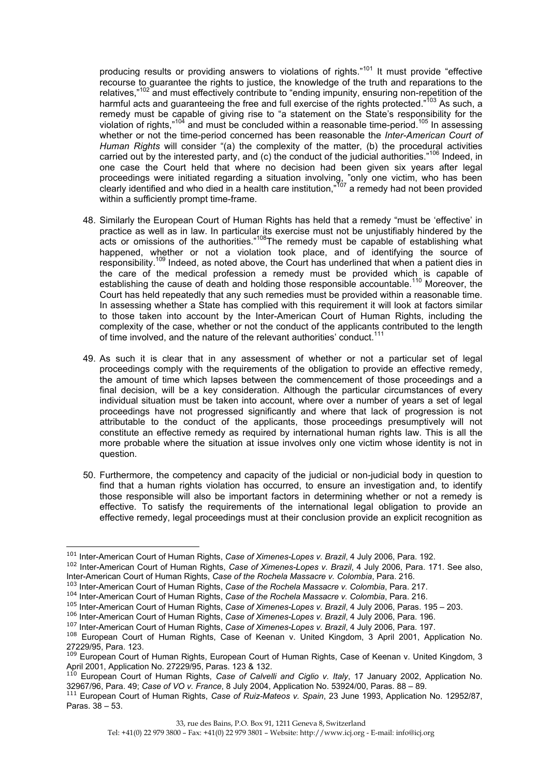producing results or providing answers to violations of rights."<sup>101</sup> It must provide "effective recourse to guarantee the rights to justice, the knowledge of the truth and reparations to the relatives."<sup>102</sup> and must effectively contribute to "ending impunity, ensuring non-repetition of the harmful acts and guaranteeing the free and full exercise of the rights protected."<sup>103</sup> As such, a remedy must be capable of giving rise to "a statement on the State's responsibility for the violation of rights,"<sup>104</sup> and must be concluded within a reasonable time-period.<sup>105</sup> In assessing whether or not the time-period concerned has been reasonable the *Inter-American Court of Human Rights* will consider "(a) the complexity of the matter, (b) the procedural activities carried out by the interested party, and (c) the conduct of the judicial authorities."<sup>106</sup> Indeed, in one case the Court held that where no decision had been given six years after legal proceedings were initiated regarding a situation involving, "only one victim, who has been clearly identified and who died in a health care institution,"<sup>107</sup> a remedy had not been provided within a sufficiently prompt time-frame.

- 48. Similarly the European Court of Human Rights has held that a remedy "must be 'effective' in practice as well as in law. In particular its exercise must not be unjustifiably hindered by the acts or omissions of the authorities."<sup>108</sup>The remedy must be capable of establishing what happened, whether or not a violation took place, and of identifying the source of responsibility.109 Indeed, as noted above, the Court has underlined that when a patient dies in the care of the medical profession a remedy must be provided which is capable of establishing the cause of death and holding those responsible accountable.<sup>110</sup> Moreover, the Court has held repeatedly that any such remedies must be provided within a reasonable time. In assessing whether a State has complied with this requirement it will look at factors similar to those taken into account by the Inter-American Court of Human Rights, including the complexity of the case, whether or not the conduct of the applicants contributed to the length of time involved, and the nature of the relevant authorities' conduct.
- 49. As such it is clear that in any assessment of whether or not a particular set of legal proceedings comply with the requirements of the obligation to provide an effective remedy, the amount of time which lapses between the commencement of those proceedings and a final decision, will be a key consideration. Although the particular circumstances of every individual situation must be taken into account, where over a number of years a set of legal proceedings have not progressed significantly and where that lack of progression is not attributable to the conduct of the applicants, those proceedings presumptively will not constitute an effective remedy as required by international human rights law. This is all the more probable where the situation at issue involves only one victim whose identity is not in question.
- 50. Furthermore, the competency and capacity of the judicial or non-judicial body in question to find that a human rights violation has occurred, to ensure an investigation and, to identify those responsible will also be important factors in determining whether or not a remedy is effective. To satisfy the requirements of the international legal obligation to provide an effective remedy, legal proceedings must at their conclusion provide an explicit recognition as

<sup>101</sup> Inter-American Court of Human Rights, *Case of Ximenes-Lopes v. Brazil*, 4 July 2006, Para. 192.

<sup>102</sup> Inter-American Court of Human Rights, *Case of Ximenes-Lopes v. Brazil*, 4 July 2006, Para. 171. See also, Inter-American Court of Human Rights, *Case of the Rochela Massacre v. Colombia*, Para. 216.

<sup>103</sup> Inter-American Court of Human Rights, *Case of the Rochela Massacre v. Colombia*, Para. 217.

<sup>104</sup> Inter-American Court of Human Rights, *Case of the Rochela Massacre v. Colombia*, Para. 216.

<sup>105</sup> Inter-American Court of Human Rights, *Case of Ximenes-Lopes v. Brazil*, 4 July 2006, Paras. 195 – 203.

<sup>106</sup> Inter-American Court of Human Rights, *Case of Ximenes-Lopes v. Brazil*, 4 July 2006, Para. 196.

<sup>107</sup> Inter-American Court of Human Rights, *Case of Ximenes-Lopes v. Brazil*, 4 July 2006, Para. 197.

<sup>108</sup> European Court of Human Rights, Case of Keenan v. United Kingdom, 3 April 2001, Application No. 27229/95, Para. 123.

<sup>&</sup>lt;sup>109</sup> European Court of Human Rights, European Court of Human Rights, Case of Keenan v. United Kingdom, 3 April 2001, Application No. 27229/95, Paras. 123 & 132.

<sup>110</sup> European Court of Human Rights, *Case of Calvelli and Ciglio v. Italy*, 17 January 2002, Application No. 32967/96, Para. 49; *Case of VO v. France*, 8 July 2004, Application No. 53924/00, Paras. 88 – 89.

<sup>111</sup> European Court of Human Rights, *Case of Ruiz-Mateos v. Spain*, 23 June 1993, Application No. 12952/87, Paras. 38 – 53.